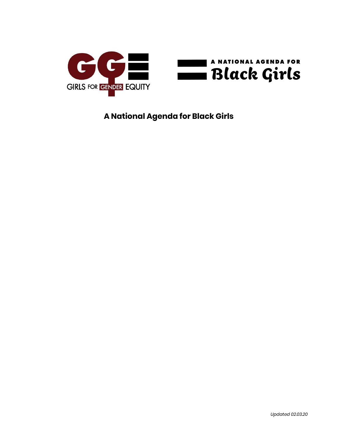

**A National Agenda for Black Girls**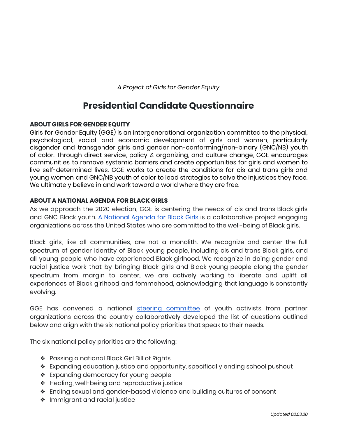*A Project of Girls for Gender Equity*

# **Presidential Candidate Questionnaire**

#### **ABOUT GIRLS FOR GENDER EQUITY**

Girls for Gender Equity (GGE) is an intergenerational organization committed to the physical, psychological, social and economic development of girls and women, particularly cisgender and transgender girls and gender non-conforming/non-binary (GNC/NB) youth of color. Through direct service, policy & organizing, and culture change, GGE encourages communities to remove systemic barriers and create opportunities for girls and women to live self-determined lives. GGE works to create the conditions for cis and trans girls and young women and GNC/NB youth of color to lead strategies to solve the injustices they face. We ultimately believe in and work toward a world where they are free.

#### **ABOUT A NATIONAL AGENDA FOR BLACK GIRLS**

As we approach the 2020 election, GGE is centering the needs of cis and trans Black girls and GNC Black youth. A [National](http://bit.ly/blackgirls2020) Agenda for Black Girls is a collaborative project engaging organizations across the United States who are committed to the well-being of Black girls.

Black girls, like all communities, are not a monolith. We recognize and center the full spectrum of gender identity of Black young people, including cis and trans Black girls, and all young people who have experienced Black girlhood. We recognize in doing gender and racial justice work that by bringing Black girls and Black young people along the gender spectrum from margin to center, we are actively working to liberate and uplift all experiences of Black girlhood and femmehood, acknowledging that language is constantly evolving.

GGE has convened a national steering [committee](https://www.ggenyc.org/wp-content/uploads/2019/11/A-National-Agenda-For-Black-Girls.html#sc-section) of youth activists from partner organizations across the country collaboratively developed the list of questions outlined below and align with the six national policy priorities that speak to their needs.

The six national policy priorities are the following:

- ❖ Passing a national Black Girl Bill of Rights
- ❖ Expanding education justice and opportunity, specifically ending school pushout
- ❖ Expanding democracy for young people
- ❖ Healing, well-being and reproductive justice
- ❖ Ending sexual and gender-based violence and building cultures of consent
- ❖ Immigrant and racial justice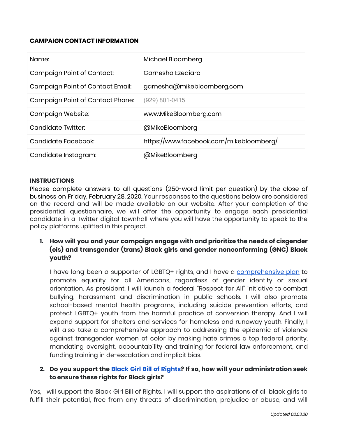#### **CAMPAIGN CONTACT INFORMATION**

| Name:                            | Michael Bloomberg                       |
|----------------------------------|-----------------------------------------|
| Campaign Point of Contact:       | Garnesha Ezediaro                       |
| Campaign Point of Contact Email: | garnesha@mikebloomberg.com              |
| Campaign Point of Contact Phone: | (929) 801-0415                          |
|                                  |                                         |
| Campaign Website:                | www.MikeBloomberg.com                   |
| Candidate Twitter:               | @MikeBloomberg                          |
| Candidate Facebook:              | https://www.facebook.com/mikebloomberg/ |

#### **INSTRUCTIONS**

Please complete answers to all questions (250-word limit per question) by the close of business on Friday, February 28, 2020. Your responses to the questions below are considered on the record and will be made available on our website. After your completion of the presidential questionnaire, we will offer the opportunity to engage each presidential candidate in a Twitter digital townhall where you will have the opportunity to speak to the policy platforms uplifted in this project.

# **1. How will you and your campaign engage with and prioritize the needs of cisgender (cis) and transgender (trans) Black girls and gender nonconforming (GNC) Black youth?**

I have long been a supporter of LGBTQ+ rights, and I have a [comprehensive](https://www.mikebloomberg.com/policies/lgbtq) plan to promote equality for all Americans, regardless of gender identity or sexual orientation. As president, I will launch a federal "Respect for All" initiative to combat bullying, harassment and discrimination in public schools. I will also promote school-based mental health programs, including suicide prevention efforts, and protect LGBTQ+ youth from the harmful practice of conversion therapy. And I will expand support for shelters and services for homeless and runaway youth. Finally, I will also take a comprehensive approach to addressing the epidemic of violence against transgender women of color by making hate crimes a top federal priority, mandating oversight, accountability and training for federal law enforcement, and funding training in de-escalation and implicit bias.

## **2. Do you support the Black Girl Bill of [Rights?](https://www.ggenyc.org/wp-content/uploads/2019/11/A-National-Agenda-For-Black-Girls.html#history-section) If so, how will your administration seek to ensure these rights for Black girls?**

Yes, I will support the Black Girl Bill of Rights. I will support the aspirations of all black girls to fulfill their potential, free from any threats of discrimination, prejudice or abuse, and will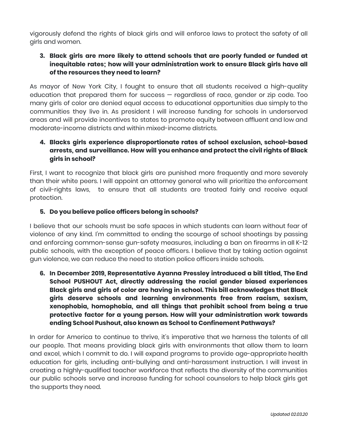vigorously defend the rights of black girls and will enforce laws to protect the safety of all girls and women.

# **3. Black girls are more likely to attend schools that are poorly funded or funded at inequitable rates; how will your administration work to ensure Black girls have all of the resources they need to learn?**

As mayor of New York City, I fought to ensure that all students received a high-quality education that prepared them for success — regardless of race, gender or zip code. Too many girls of color are denied equal access to educational opportunities due simply to the communities they live in. As president I will increase funding for schools in underserved areas and will provide incentives to states to promote equity between affluent and low and moderate-income districts and within mixed-income districts.

# **4. Blacks girls experience disproportionate rates of school exclusion, school-based arrests, and surveillance. How will you enhance and protect the civil rights of Black girls in school?**

First, I want to recognize that black girls are punished more frequently and more severely than their white peers. I will appoint an attorney general who will prioritize the enforcement of civil-rights laws, to ensure that all students are treated fairly and receive equal protection.

## **5. Do you believe police officers belong in schools?**

I believe that our schools must be safe spaces in which students can learn without fear of violence of any kind. I'm committed to ending the scourge of school shootings by passing and enforcing common-sense gun-safety measures, including a ban on firearms in all K-12 public schools, with the exception of peace officers. I believe that by taking action against gun violence, we can reduce the need to station police officers inside schools.

**6. In December 2019, Representative Ayanna Pressley introduced a bill titled, The End School PUSHOUT Act, directly addressing the racial gender biased experiences Black girls and girls of color are having in school. This bill acknowledges that Black girls deserve schools and learning environments free from racism, sexism, xenophobia, homophobia, and all things that prohibit school from being a true protective factor for a young person. How will your administration work towards ending School Pushout, also known as School to Confinement Pathways?**

In order for America to continue to thrive, it's imperative that we harness the talents of all our people. That means providing black girls with environments that allow them to learn and excel, which I commit to do. I will expand programs to provide age-appropriate health education for girls, including anti-bullying and anti-harassment instruction. I will invest in creating a highly-qualified teacher workforce that reflects the diversity of the communities our public schools serve and increase funding for school counselors to help black girls get the supports they need.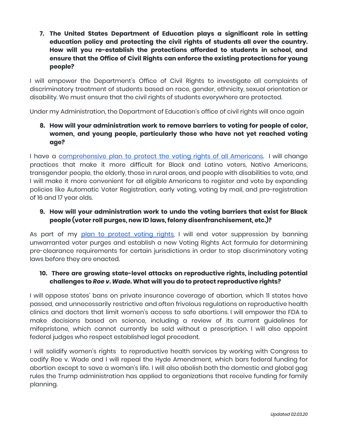**7. The United States Department of Education plays a significant role in setting education policy and protecting the civil rights of students all over the country. How will you re-establish the protections afforded to students in school, and ensure that the Office of Civil Rights can enforce the existing protections for young people?**

I will empower the Department's Office of Civil Rights to investigate all complaints of discriminatory treatment of students based on race, gender, ethnicity, sexual orientation or disability. We must ensure that the civil rights of students everywhere are protected.

Under my Administration, the Department of Education's office of civil rights will once again

# **8. How will your administration work to remove barriers to voting for people of color, women, and young people, particularly those who have not yet reached voting age?**

I have a [comprehensive](https://www.mikebloomberg.com/policies/voter-rights) plan to protect the voting rights of all Americans. I will change practices that make it more difficult for Black and Latino voters, Native Americans, transgender people, the elderly, those in rural areas, and people with disabilities to vote, and I will make it more convenient for all eligible Americans to register and vote by expanding policies like Automatic Voter Registration, early voting, voting by mail, and pre-registration of 16 and 17 year olds.

# **9. How will your administration work to undo the voting barriers that exist for Black people (voter roll purges, new ID laws, felony disenfranchisement, etc.)?**

As part of my plan to [protect](https://www.mikebloomberg.com/policies/voter-rights) voting rights, I will end voter suppression by banning unwarranted voter purges and establish a new Voting Rights Act formula for determining pre-clearance requirements for certain jurisdictions in order to stop discriminatory voting laws before they are enacted.

## **10. There are growing state-level attacks on reproductive rights, including potential challenges to** *Roe v. Wade***. What will you do to protect reproductive rights?**

I will oppose states' bans on private insurance coverage of abortion, which 11 states have passed, and unnecessarily restrictive and often frivolous regulations on reproductive health clinics and doctors that limit women's access to safe abortions. I will empower the FDA to make decisions based on science, including a review of its current guidelines for mifepristone, which cannot currently be sold without a prescription. I will also appoint federal judges who respect established legal precedent.

I will solidify women's rights to reproductive health services by working with Congress to codify Roe v. Wade and I will repeal the Hyde Amendment, which bars federal funding for abortion except to save a woman's life. I will also abolish both the domestic and global gag rules the Trump administration has applied to organizations that receive funding for family planning.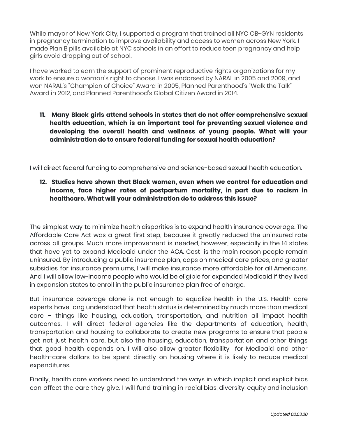While mayor of New York City, I supported a program that trained all NYC OB-GYN [residents](https://www.cbsnews.com/news/abortion-training-ordered-for-nyc-docs/) in pregnancy [termination](https://www.cbsnews.com/news/abortion-training-ordered-for-nyc-docs/) to improve availability and access to women across New York. I made Plan B pills [available](https://nypost.com/2012/09/23/nyc-schools-give-out-morning-after-pills-to-students-without-telling-parents/) at NYC schools in an effort to reduce teen pregnancy and help girls avoid dropping out of school.

I have worked to earn the support of prominent reproductive rights organizations for my work to ensure a woman's right to choose. I was endorsed by NARAL in [2005](https://nypost.com/2005/07/22/pro-choice-group-backs-bloomberg/) and [2009,](https://web.archive.org/web/20120601211012/https://www.nydailynews.com/blogs/dailypolitics/2009/04/naral-for-bloomberg-by-default.html) and won NARAL's ["Champion](https://www.nytimes.com/2005/07/22/nyregion/metrocampaigns/major-abortion-rights-group-gives-approval-to.html) of Choice" Award in 2005, Planned [Parenthood's](https://www.lifesitenews.com/news/pro-abortion-michael-bloomberg-joins-presidential-race-fearing-weakness-of-other-dems) "Walk the Talk" [Award](https://www.lifesitenews.com/news/pro-abortion-michael-bloomberg-joins-presidential-race-fearing-weakness-of-other-dems) in 2012, and Planned [Parenthood's](http://www.nrlpac.org/pdf/2020%20POTUS%20comparison.pdf) Global Citizen Award in 2014.

**11. Many Black girls attend schools in states that do not offer comprehensive sexual health education, which is an important tool for preventing sexual violence and developing the overall health and wellness of young people. What will your administration do to ensure federal funding for sexual health education?**

I will direct federal funding to comprehensive and science-based sexual health education.

**12. Studies have shown that Black women, even when we control for education and income, face higher rates of postpartum mortality, in part due to racism in healthcare. What will your administration do to address this issue?**

The simplest way to minimize health disparities is to expand health insurance coverage. The Affordable Care Act was a great first step, because it greatly reduced the uninsured rate across all groups. Much more improvement is needed, however, especially in the 14 states that have yet to expand Medicaid under the ACA. Cost is the main reason people remain uninsured. By introducing a public insurance plan, caps on medical care prices, and greater subsidies for insurance premiums, I will make insurance more affordable for all Americans. And I will allow low-income people who would be eligible for expanded Medicaid if they lived in expansion states to enroll in the public insurance plan free of charge.

But insurance coverage alone is not enough to equalize health in the U.S. Health care experts have long understood that health status is determined by much more than medical care – things like housing, education, transportation, and nutrition all impact health outcomes. I will direct federal agencies like the departments of education, health, transportation and housing to collaborate to create new programs to ensure that people get not just health care, but also the housing, education, transportation and other things that good health depends on. I will also allow greater flexibility for Medicaid and other health-care dollars to be spent directly on housing where it is likely to reduce medical expenditures.

Finally, health care workers need to understand the ways in which implicit and explicit bias can affect the care they give. I will fund training in racial bias, diversity, equity and inclusion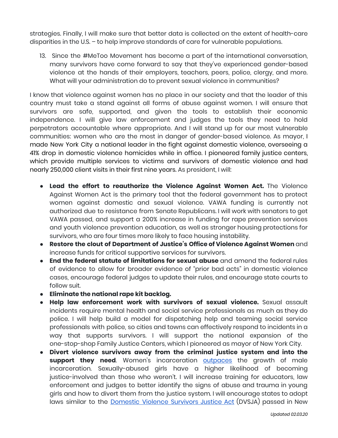strategies. Finally, I will make sure that better data is collected on the extent of health-care disparities in the U.S. – to help improve standards of care for vulnerable populations.

13. Since the #MeToo Movement has become a part of the international conversation, many survivors have come forward to say that they've experienced gender-based violence at the hands of their employers, teachers, peers, police, clergy, and more. What will your administration do to prevent sexual violence in communities?

I know that violence against women has no place in our society and that the leader of this country must take a stand against all forms of abuse against women. I will ensure that survivors are safe, supported, and given the tools to establish their economic independence. I will give law enforcement and judges the tools they need to hold perpetrators accountable where appropriate. And I will stand up for our most vulnerable communities: women who are the most in danger of gender-based violence. As mayor, I made New York City a national leader in the fight against domestic violence, overseeing a 41% drop in domestic violence homicides while in office. I pioneered family justice centers, which provide multiple services to victims and survivors of domestic violence and had nearly 250,000 client visits in their first nine years. As president, I will:

- **● Lead the effort to reauthorize the Violence Against Women Act.** The Violence Against Women Act is the primary tool that the federal government has to protect women against domestic and sexual violence. VAWA funding is currently not authorized due to resistance from Senate Republicans. I will work with senators to get VAWA passed, and support a 200% increase in funding for rape prevention services and youth violence prevention education, as well as stronger housing protections for survivors, who are four times more likely to face housing instability.
- **● Restore the clout of Department of Justice's Office of Violence Against Women** and increase funds for critical supportive services for survivors.
- **● End the federal statute of limitations for sexual abuse** and amend the federal rules of evidence to allow for broader evidence of "prior bad acts" in domestic violence cases, encourage federal judges to update their rules, and encourage state courts to follow suit.
- **● Eliminate the national rape kit backlog.**
- **Help law enforcement work with survivors of sexual violence.** Sexual assault incidents require mental health and social service professionals as much as they do police. I will help build a model for dispatching help and teaming social service professionals with police, so cities and towns can effectively respond to incidents in a way that supports survivors. I will support the national expansion of the one-stop-shop Family Justice Centers, which I pioneered as mayor of New York City.
- **Divert violence survivors away from the criminal justice system and into the support they need**. Women's incarceration **[outpaces](https://www.prisonpolicy.org/reports/pie2019women.html)** the growth of male incarceration. Sexually-abused girls have a higher likelihood of becoming justice-involved than those who weren't. I will increase training for educators, law enforcement and judges to better identify the signs of abuse and trauma in young girls and how to divert them from the justice system. I will encourage states to adopt laws similar to the [Domestic](https://sanctuaryforfamilies.org/our-approach/advocacy/justice-for-incarcerated-survivors-ny/) Violence Survivors Justice Act (DVSJA) passed in New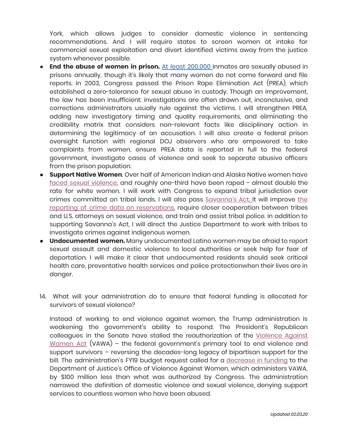York, which allows judges to consider domestic violence in sentencing recommendations. And I will require states to screen women at intake for commercial sexual exploitation and divert identified victims away from the justice system whenever possible.

- **End the abuse of women in prison.** At least [200,000](https://www.themarshallproject.org/2018/07/25/prison-rape-allegations-are-on-the-rise) inmates are sexually abused in prisons annually, though it's likely that many women do not come forward and file reports. In 2003, Congress passed the Prison Rape Elimination Act (PREA), which established a zero-tolerance for sexual abuse in custody. Though an improvement, the law has been insufficient: investigations are often drawn out, inconclusive, and corrections administrators usually rule against the victims. I will strengthen PREA, adding new investigatory timing and quality requirements, and eliminating the credibility matrix that considers non-relevant facts like disciplinary action in determining the legitimacy of an accusation. I will also create a federal prison oversight function with regional DOJ observers who are empowered to take complaints from women, ensure PREA data is reported in full to the federal government, investigate cases of violence and seek to separate abusive officers from the prison population.
- **Support Native Women**. Over half of American Indian and Alaska Native women have faced sexual [violence,](https://www.ncjrs.gov/pdffiles1/nij/249736.pdf) and roughly one-third have been raped – almost double the rate for white women. I will work with Congress to expand tribal jurisdiction over crimes committed on tribal lands. I will also pass [Savanna's](https://www.congress.gov/bill/116th-congress/senate-bill/227/text) Act. It will improve [the](https://www.bloomberg.com/opinion/articles/2019-02-12/savanna-s-act-and-the-epidemic-of-violence-against-native-women?sref=iRF1Wgnu) reporting of crime data on [reservations,](https://www.bloomberg.com/opinion/articles/2019-02-12/savanna-s-act-and-the-epidemic-of-violence-against-native-women?sref=iRF1Wgnu) require closer cooperation between tribes and U.S. attorneys on sexual violence, and train and assist tribal police. In addition to supporting Savanna's Act, I will direct the Justice Department to work with tribes to investigate crimes against indigenous women.
- **Undocumented women.** Many undocumented Latino women may be afraid to report sexual assault and domestic violence to local authorities or seek help for fear of deportation. I will make it clear that undocumented residents should seek critical health care, preventative health services and police protectionwhen their lives are in danger.
- 14. What will your administration do to ensure that federal funding is allocated for survivors of sexual violence?

Instead of working to end violence against women, the Trump administration is weakening the government's ability to respond. The President's Republican colleagues in the Senate have stalled the reauthorization of the [Violence](https://fas.org/sgp/crs/misc/R45410.pdf) Against [Women](https://fas.org/sgp/crs/misc/R45410.pdf) Act (VAWA) – the federal government's primary tool to end violence and support survivors – reversing the decades-long legacy of bipartisan support for the bill. The administration's FY19 budget request called for a [decrease](https://ncadv.org/blog/posts/ncadv-denounces-president-trumps-fy19-budget-request) in funding to the Department of Justice's Office of Violence Against Women, which administers VAWA, by \$100 million less than what was authorized by Congress. The administration narrowed the definition of domestic violence and sexual violence, denying support services to countless women who have been abused.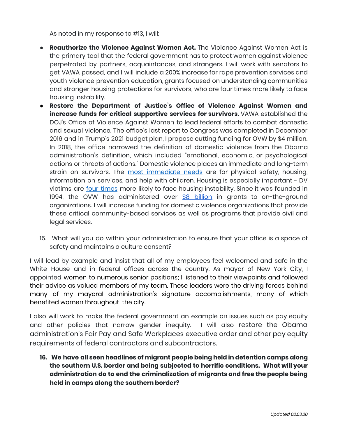As noted in my response to #13, I will:

- **Reauthorize the Violence Against Women Act.** The Violence Against Women Act is the primary tool that the federal government has to protect women against violence perpetrated by partners, acquaintances, and strangers. I will work with senators to get VAWA passed, and I will include a 200% increase for rape prevention services and youth violence prevention education, grants focused on understanding communities and stronger housing protections for survivors, who are four times more likely to face housing instability.
- **Restore the Department of Justice's Office of Violence Against Women and increase funds for critical supportive services for survivors.** VAWA established the DOJ's Office of Violence Against Women to lead federal efforts to combat domestic and sexual violence. The office's last report to Congress was completed in December 2016 and in Trump's 2021 budget plan, I propose cutting funding for OVW by \$4 million. In 2018, the office narrowed the definition of domestic violence from the Obama administration's definition, which included "emotional, economic, or psychological actions or threats of actions." Domestic violence places an immediate and long-term strain on survivors. The most [immediate](https://www.ncjrs.gov/pdffiles1/nij/grants/225025.pdf) needs are for physical safety, housing, information on services, and help with children. Housing is especially important - DV victims are *four [times](https://iwpr.org/wp-content/uploads/2017/01/WOW-ESS-Prosecutors-Sector-Guide.pdf)* more likely to face housing instability. Since it was founded in 1994, the OVW has administered over \$8 [billion](https://www.justice.gov/ovw/about-office) in grants to on-the-ground organizations. I will increase funding for domestic violence organizations that provide these critical community-based services as well as programs that provide civil and legal services.
- 15. What will you do within your administration to ensure that your office is a space of safety and maintains a culture consent?

I will lead by example and insist that all of my employees feel welcomed and safe in the White House and in federal offices across the country. As mayor of New York City, I appointed women to numerous senior positions; I listened to their viewpoints and followed their advice as valued members of my team. These leaders were the driving forces behind many of my mayoral administration's signature accomplishments, many of which benefited women throughout the city.

I also will work to make the federal government an example on issues such as pay equity and other policies that narrow gender inequity. I will also restore the Obama administration's Fair Pay and Safe Workplaces executive order and other pay equity requirements of federal contractors and subcontractors.

**16. We have all seen headlines of migrant people being held in detention camps along the southern U.S. border and being subjected to horrific conditions. What will your administration do to end the criminalization of migrants and free the people being held in camps along the southern border?**